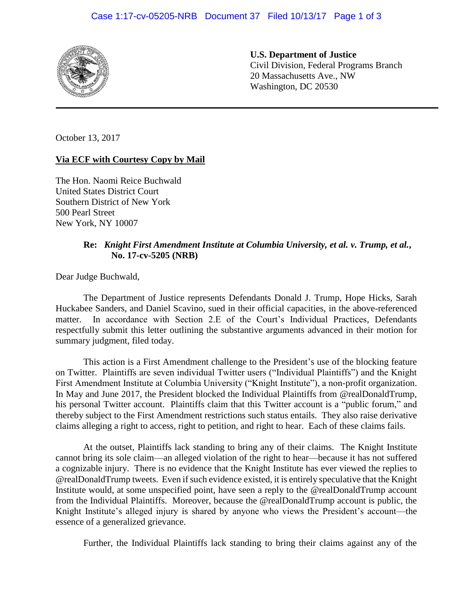

**U.S. Department of Justice** Civil Division, Federal Programs Branch 20 Massachusetts Ave., NW Washington, DC 20530

October 13, 2017

## **Via ECF with Courtesy Copy by Mail**

The Hon. Naomi Reice Buchwald United States District Court Southern District of New York 500 Pearl Street New York, NY 10007

## **Re:** *Knight First Amendment Institute at Columbia University, et al. v. Trump, et al.***, No. 17-cv-5205 (NRB)**

Dear Judge Buchwald,

The Department of Justice represents Defendants Donald J. Trump, Hope Hicks, Sarah Huckabee Sanders, and Daniel Scavino, sued in their official capacities, in the above-referenced matter. In accordance with Section 2.E of the Court's Individual Practices, Defendants respectfully submit this letter outlining the substantive arguments advanced in their motion for summary judgment, filed today.

This action is a First Amendment challenge to the President's use of the blocking feature on Twitter. Plaintiffs are seven individual Twitter users ("Individual Plaintiffs") and the Knight First Amendment Institute at Columbia University ("Knight Institute"), a non-profit organization. In May and June 2017, the President blocked the Individual Plaintiffs from @realDonaldTrump, his personal Twitter account. Plaintiffs claim that this Twitter account is a "public forum," and thereby subject to the First Amendment restrictions such status entails. They also raise derivative claims alleging a right to access, right to petition, and right to hear. Each of these claims fails.

At the outset, Plaintiffs lack standing to bring any of their claims. The Knight Institute cannot bring its sole claim—an alleged violation of the right to hear—because it has not suffered a cognizable injury. There is no evidence that the Knight Institute has ever viewed the replies to @realDonaldTrump tweets. Even if such evidence existed, it is entirely speculative that the Knight Institute would, at some unspecified point, have seen a reply to the @realDonaldTrump account from the Individual Plaintiffs. Moreover, because the @realDonaldTrump account is public, the Knight Institute's alleged injury is shared by anyone who views the President's account—the essence of a generalized grievance.

Further, the Individual Plaintiffs lack standing to bring their claims against any of the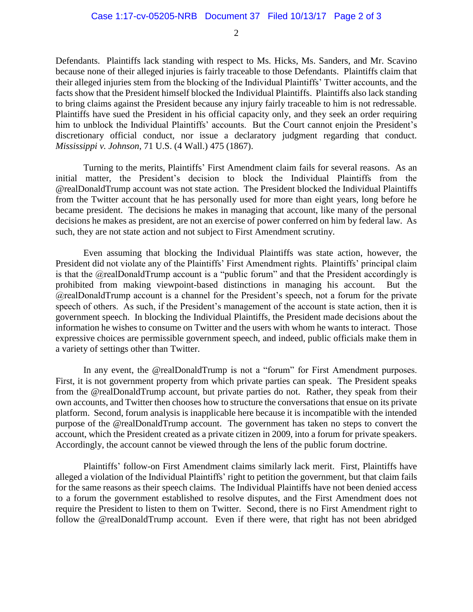Defendants. Plaintiffs lack standing with respect to Ms. Hicks, Ms. Sanders, and Mr. Scavino because none of their alleged injuries is fairly traceable to those Defendants. Plaintiffs claim that their alleged injuries stem from the blocking of the Individual Plaintiffs' Twitter accounts, and the facts show that the President himself blocked the Individual Plaintiffs. Plaintiffs also lack standing to bring claims against the President because any injury fairly traceable to him is not redressable. Plaintiffs have sued the President in his official capacity only, and they seek an order requiring him to unblock the Individual Plaintiffs' accounts. But the Court cannot enjoin the President's discretionary official conduct, nor issue a declaratory judgment regarding that conduct. *Mississippi v. Johnson*, 71 U.S. (4 Wall.) 475 (1867).

Turning to the merits, Plaintiffs' First Amendment claim fails for several reasons. As an initial matter, the President's decision to block the Individual Plaintiffs from the @realDonaldTrump account was not state action. The President blocked the Individual Plaintiffs from the Twitter account that he has personally used for more than eight years, long before he became president. The decisions he makes in managing that account, like many of the personal decisions he makes as president, are not an exercise of power conferred on him by federal law. As such, they are not state action and not subject to First Amendment scrutiny.

Even assuming that blocking the Individual Plaintiffs was state action, however, the President did not violate any of the Plaintiffs' First Amendment rights. Plaintiffs' principal claim is that the @realDonaldTrump account is a "public forum" and that the President accordingly is prohibited from making viewpoint-based distinctions in managing his account. But the @realDonaldTrump account is a channel for the President's speech, not a forum for the private speech of others. As such, if the President's management of the account is state action, then it is government speech. In blocking the Individual Plaintiffs, the President made decisions about the information he wishes to consume on Twitter and the users with whom he wants to interact. Those expressive choices are permissible government speech, and indeed, public officials make them in a variety of settings other than Twitter.

In any event, the @realDonaldTrump is not a "forum" for First Amendment purposes. First, it is not government property from which private parties can speak. The President speaks from the @realDonaldTrump account, but private parties do not. Rather, they speak from their own accounts, and Twitter then chooses how to structure the conversations that ensue on its private platform. Second, forum analysis is inapplicable here because it is incompatible with the intended purpose of the @realDonaldTrump account. The government has taken no steps to convert the account, which the President created as a private citizen in 2009, into a forum for private speakers. Accordingly, the account cannot be viewed through the lens of the public forum doctrine.

Plaintiffs' follow-on First Amendment claims similarly lack merit. First, Plaintiffs have alleged a violation of the Individual Plaintiffs' right to petition the government, but that claim fails for the same reasons as their speech claims. The Individual Plaintiffs have not been denied access to a forum the government established to resolve disputes, and the First Amendment does not require the President to listen to them on Twitter. Second, there is no First Amendment right to follow the @realDonaldTrump account. Even if there were, that right has not been abridged

2